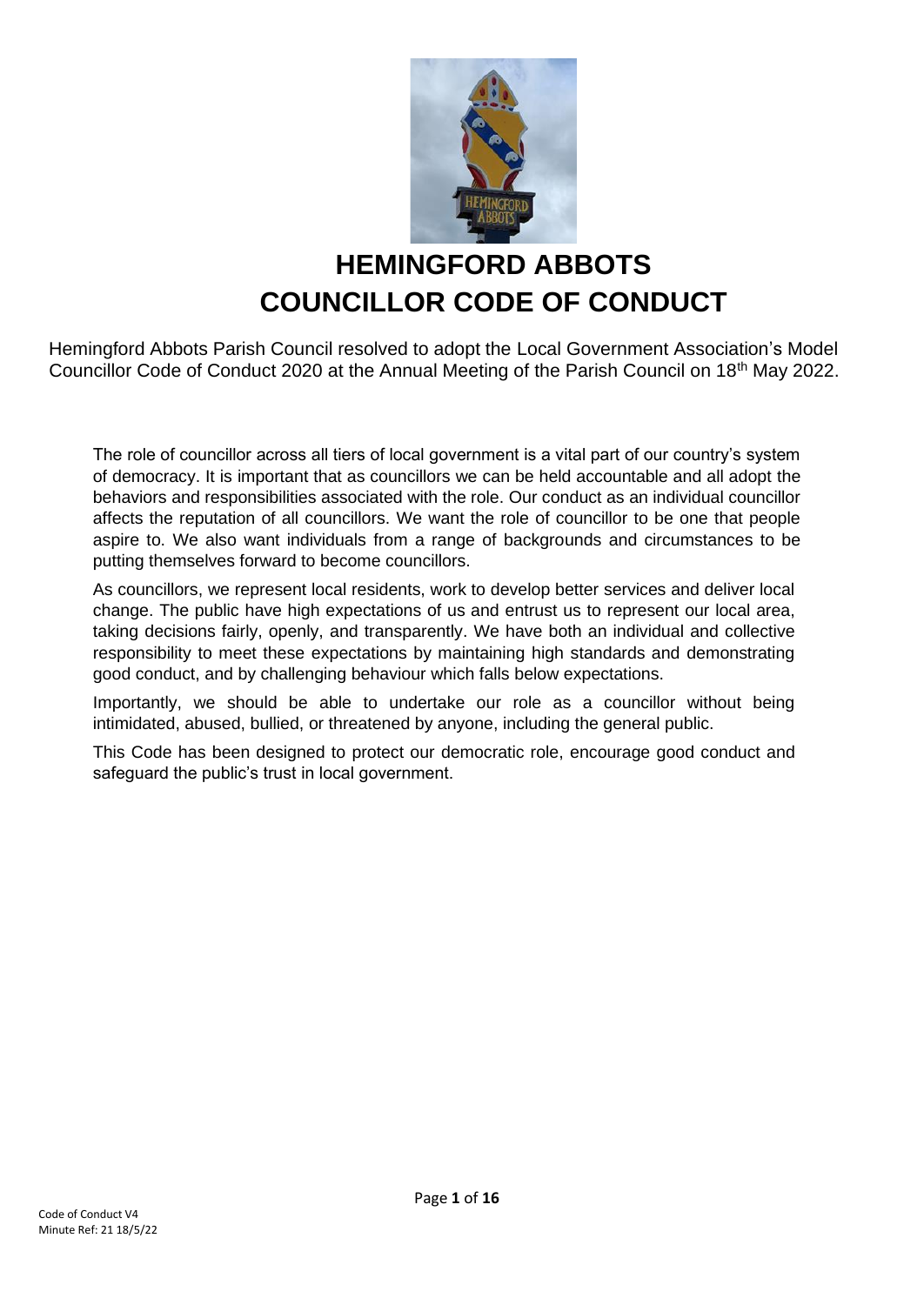

# **HEMINGFORD ABBOTS COUNCILLOR CODE OF CONDUCT**

Hemingford Abbots Parish Council resolved to adopt the Local Government Association's Model Councillor Code of Conduct 2020 at the Annual Meeting of the Parish Council on 18th May 2022.

The role of councillor across all tiers of local government is a vital part of our country's system of democracy. It is important that as councillors we can be held accountable and all adopt the behaviors and responsibilities associated with the role. Our conduct as an individual councillor affects the reputation of all councillors. We want the role of councillor to be one that people aspire to. We also want individuals from a range of backgrounds and circumstances to be putting themselves forward to become councillors.

As councillors, we represent local residents, work to develop better services and deliver local change. The public have high expectations of us and entrust us to represent our local area, taking decisions fairly, openly, and transparently. We have both an individual and collective responsibility to meet these expectations by maintaining high standards and demonstrating good conduct, and by challenging behaviour which falls below expectations.

Importantly, we should be able to undertake our role as a councillor without being intimidated, abused, bullied, or threatened by anyone, including the general public.

This Code has been designed to protect our democratic role, encourage good conduct and safeguard the public's trust in local government.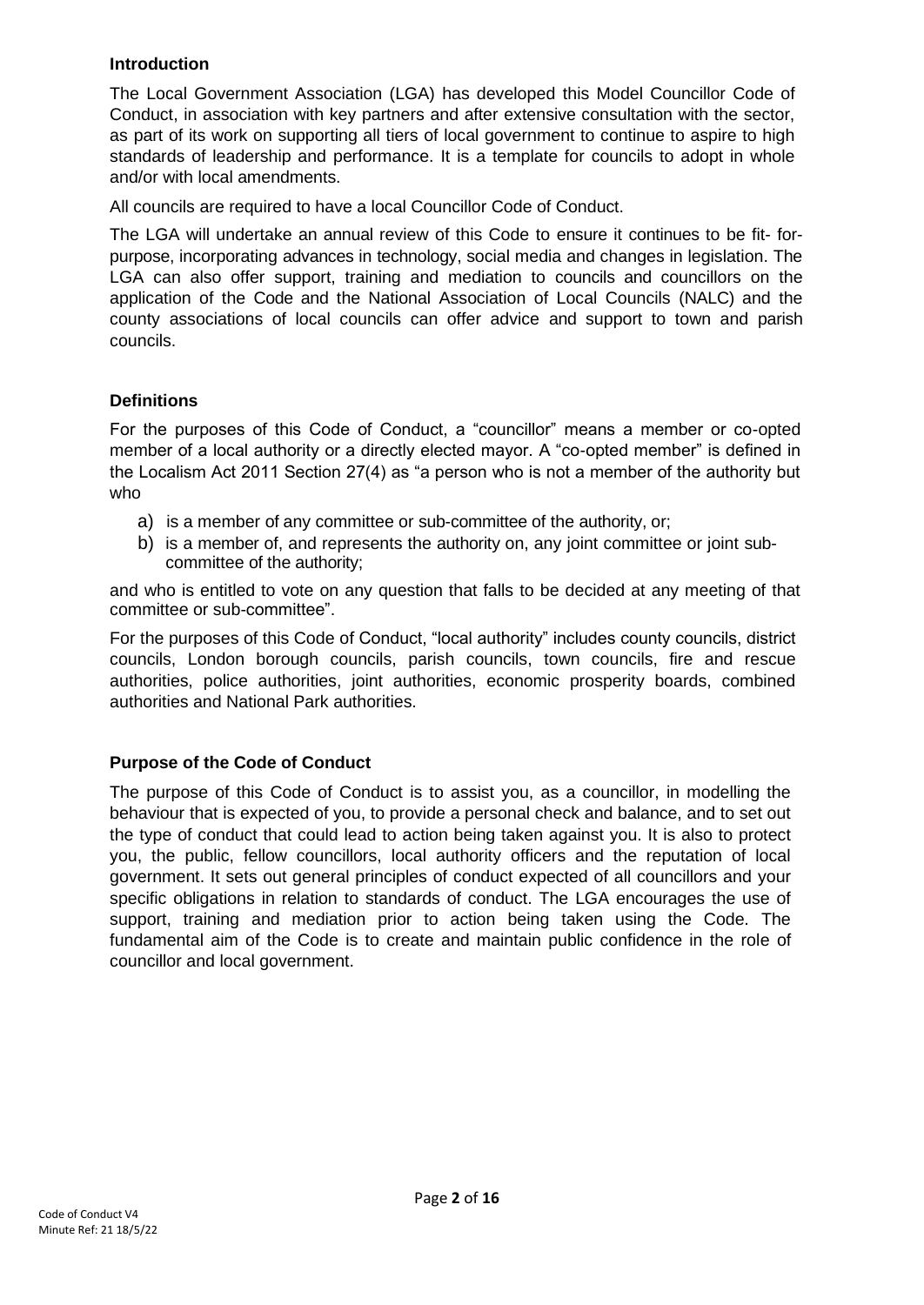## **Introduction**

The Local Government Association (LGA) has developed this Model Councillor Code of Conduct, in association with key partners and after extensive consultation with the sector, as part of its work on supporting all tiers of local government to continue to aspire to high standards of leadership and performance. It is a template for councils to adopt in whole and/or with local amendments.

All councils are required to have a local Councillor Code of Conduct.

The LGA will undertake an annual review of this Code to ensure it continues to be fit- forpurpose, incorporating advances in technology, social media and changes in legislation. The LGA can also offer support, training and mediation to councils and councillors on the application of the Code and the National Association of Local Councils (NALC) and the county associations of local councils can offer advice and support to town and parish councils.

## **Definitions**

For the purposes of this Code of Conduct, a "councillor" means a member or co-opted member of a local authority or a directly elected mayor. A "co-opted member" is defined in the Localism Act 2011 Section 27(4) as "a person who is not a member of the authority but who

- a) is a member of any committee or sub-committee of the authority, or;
- b) is a member of, and represents the authority on, any joint committee or joint subcommittee of the authority;

and who is entitled to vote on any question that falls to be decided at any meeting of that committee or sub-committee".

For the purposes of this Code of Conduct, "local authority" includes county councils, district councils, London borough councils, parish councils, town councils, fire and rescue authorities, police authorities, joint authorities, economic prosperity boards, combined authorities and National Park authorities.

## **Purpose of the Code of Conduct**

The purpose of this Code of Conduct is to assist you, as a councillor, in modelling the behaviour that is expected of you, to provide a personal check and balance, and to set out the type of conduct that could lead to action being taken against you. It is also to protect you, the public, fellow councillors, local authority officers and the reputation of local government. It sets out general principles of conduct expected of all councillors and your specific obligations in relation to standards of conduct. The LGA encourages the use of support, training and mediation prior to action being taken using the Code. The fundamental aim of the Code is to create and maintain public confidence in the role of councillor and local government.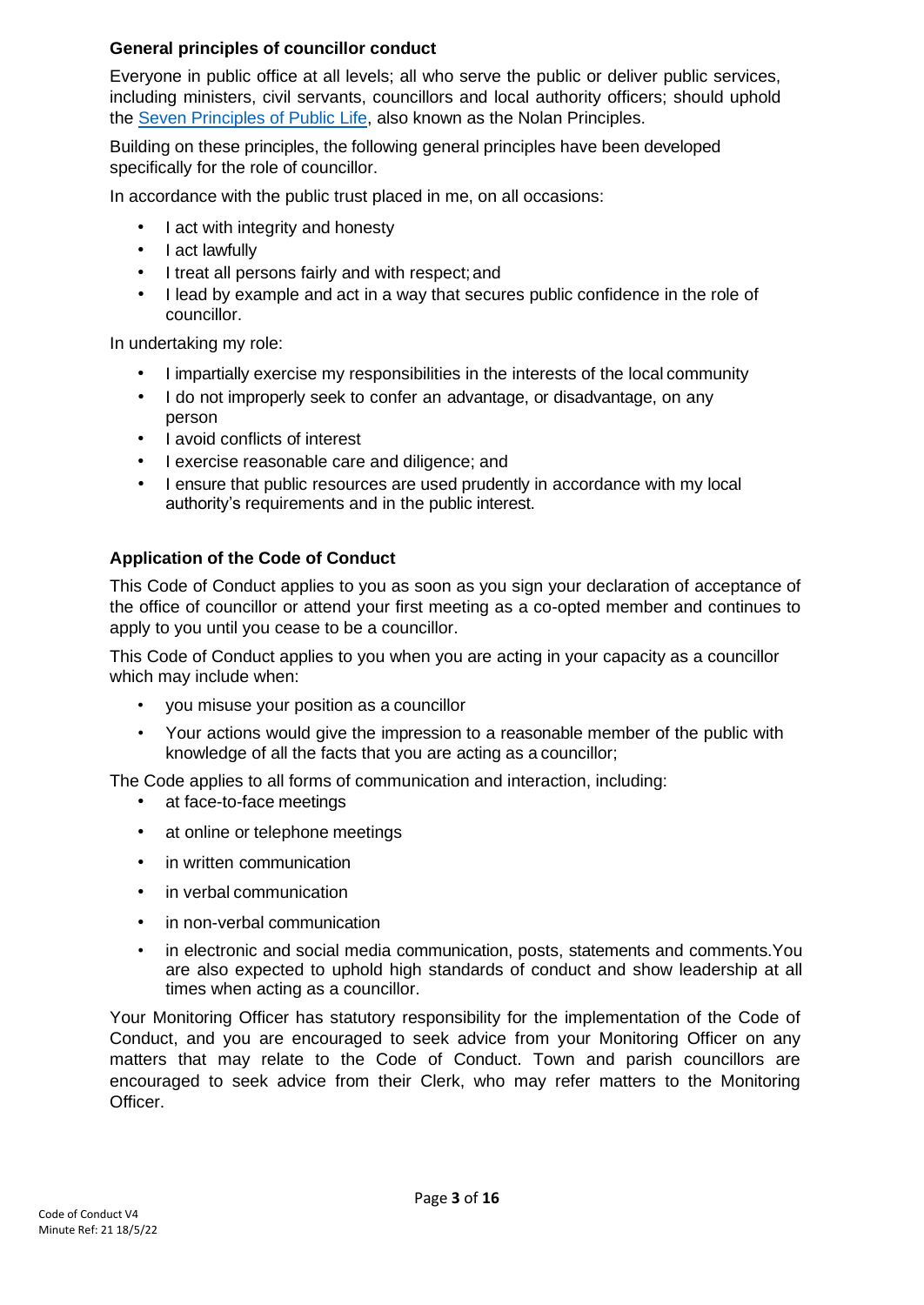## **General principles of councillor conduct**

Everyone in public office at all levels; all who serve the public or deliver public services, including ministers, civil servants, councillors and local authority officers; should uphold the [Seven Principles of Public Life, a](https://www.gov.uk/government/publications/the-7-principles-of-public-life/the-7-principles-of-public-life--2)lso known as the Nolan Principles.

Building on these principles, the following general principles have been developed specifically for the role of councillor.

In accordance with the public trust placed in me, on all occasions:

- I act with integrity and honesty
- I act lawfully
- I treat all persons fairly and with respect;and
- I lead by example and act in a way that secures public confidence in the role of councillor.

In undertaking my role:

- I impartially exercise my responsibilities in the interests of the local community
- I do not improperly seek to confer an advantage, or disadvantage, on any person
- I avoid conflicts of interest
- I exercise reasonable care and diligence; and
- I ensure that public resources are used prudently in accordance with my local authority's requirements and in the public interest.

## **Application of the Code of Conduct**

This Code of Conduct applies to you as soon as you sign your declaration of acceptance of the office of councillor or attend your first meeting as a co-opted member and continues to apply to you until you cease to be a councillor.

This Code of Conduct applies to you when you are acting in your capacity as a councillor which may include when:

- you misuse your position as a councillor
- Your actions would give the impression to a reasonable member of the public with knowledge of all the facts that you are acting as a councillor;

The Code applies to all forms of communication and interaction, including:

- at face-to-face meetings
- at online or telephone meetings
- in written communication
- in verbal communication
- in non-verbal communication
- in electronic and social media communication, posts, statements and comments.You are also expected to uphold high standards of conduct and show leadership at all times when acting as a councillor.

Your Monitoring Officer has statutory responsibility for the implementation of the Code of Conduct, and you are encouraged to seek advice from your Monitoring Officer on any matters that may relate to the Code of Conduct. Town and parish councillors are encouraged to seek advice from their Clerk, who may refer matters to the Monitoring Officer.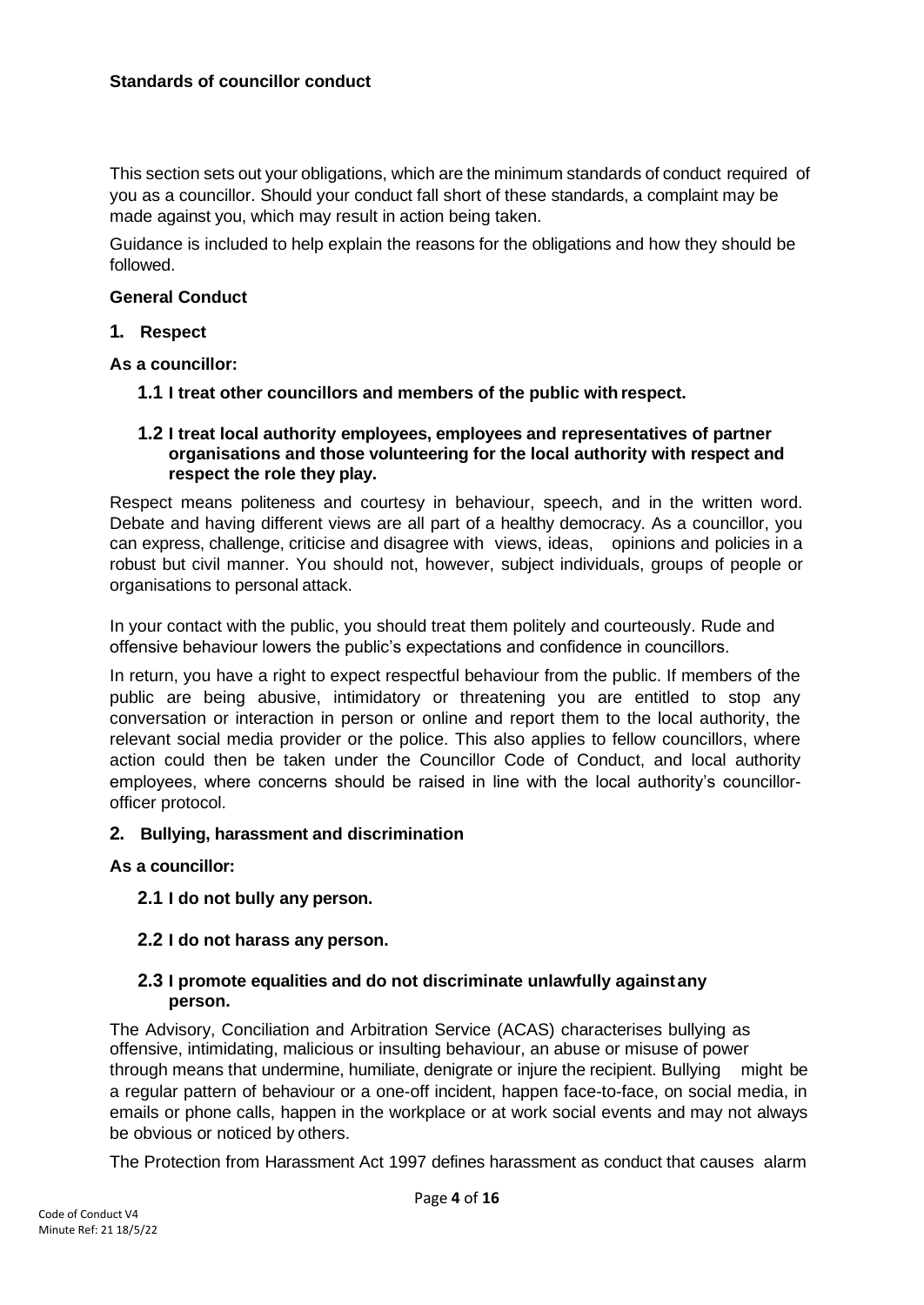#### **Standards of councillor conduct**

This section sets out your obligations, which are the minimum standards of conduct required of you as a councillor. Should your conduct fall short of these standards, a complaint may be made against you, which may result in action being taken.

Guidance is included to help explain the reasons for the obligations and how they should be followed.

#### **General Conduct**

**1. Respect**

**As a councillor:**

**1.1 I treat other councillors and members of the public with respect.**

#### **1.2 I treat local authority employees, employees and representatives of partner organisations and those volunteering for the local authority with respect and respect the role they play.**

Respect means politeness and courtesy in behaviour, speech, and in the written word. Debate and having different views are all part of a healthy democracy. As a councillor, you can express, challenge, criticise and disagree with views, ideas, opinions and policies in a robust but civil manner. You should not, however, subject individuals, groups of people or organisations to personal attack.

In your contact with the public, you should treat them politely and courteously. Rude and offensive behaviour lowers the public's expectations and confidence in councillors.

In return, you have a right to expect respectful behaviour from the public. If members of the public are being abusive, intimidatory or threatening you are entitled to stop any conversation or interaction in person or online and report them to the local authority, the relevant social media provider or the police. This also applies to fellow councillors, where action could then be taken under the Councillor Code of Conduct, and local authority employees, where concerns should be raised in line with the local authority's councillorofficer protocol.

## **2. Bullying, harassment and discrimination**

**As a councillor:**

**2.1 I do not bully any person.**

## **2.2 I do not harass any person.**

#### **2.3 I promote equalities and do not discriminate unlawfully againstany person.**

The Advisory, Conciliation and Arbitration Service (ACAS) characterises bullying as offensive, intimidating, malicious or insulting behaviour, an abuse or misuse of power through means that undermine, humiliate, denigrate or injure the recipient. Bullying might be a regular pattern of behaviour or a one-off incident, happen face-to-face, on social media, in emails or phone calls, happen in the workplace or at work social events and may not always be obvious or noticed by others.

The Protection from Harassment Act 1997 defines harassment as conduct that causes alarm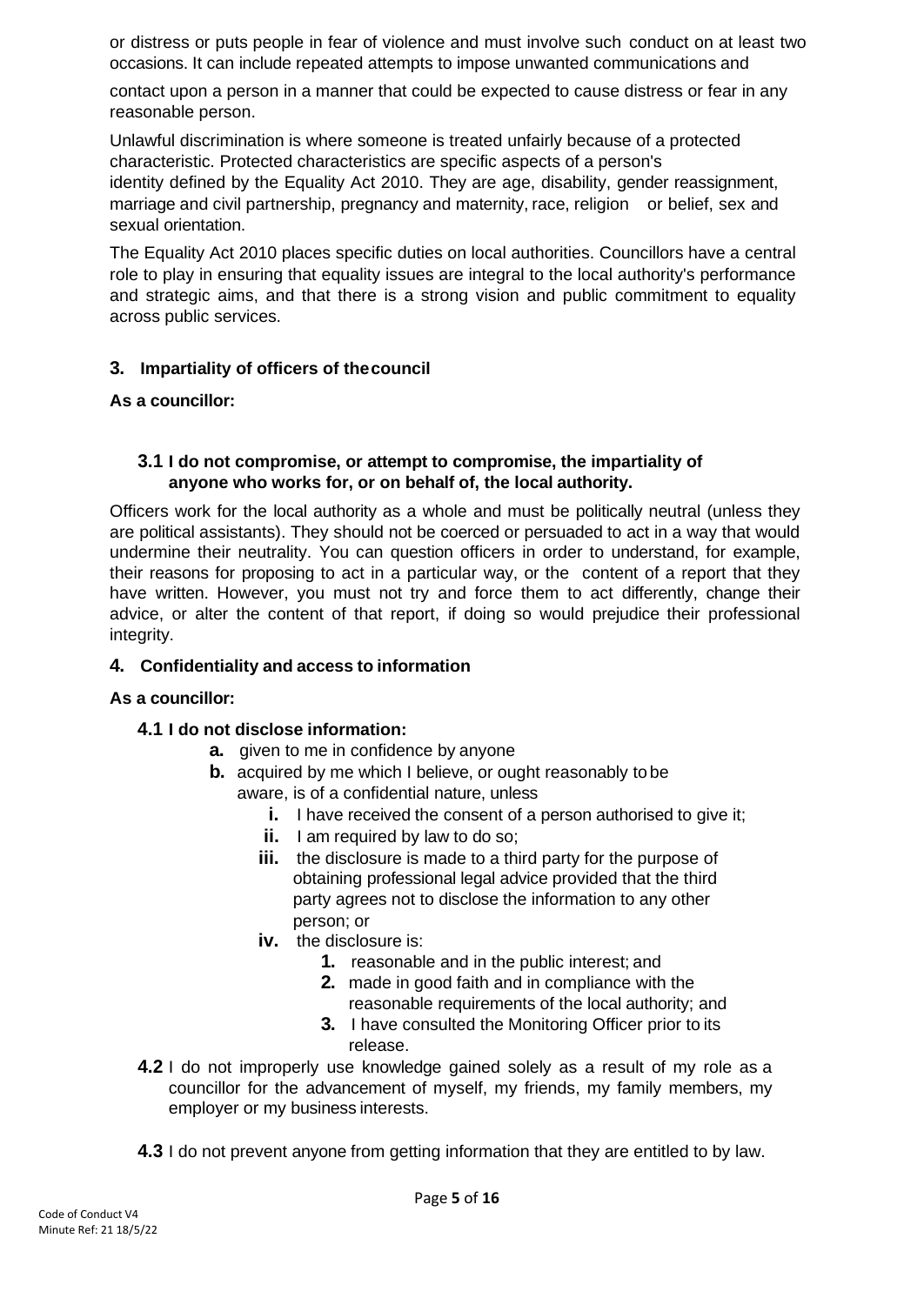or distress or puts people in fear of violence and must involve such conduct on at least two occasions. It can include repeated attempts to impose unwanted communications and

contact upon a person in a manner that could be expected to cause distress or fear in any reasonable person.

Unlawful discrimination is where someone is treated unfairly because of a protected characteristic. Protected characteristics are specific aspects of a person's identity defined by the Equality Act 2010. They are age, disability, gender reassignment, marriage and civil partnership, pregnancy and maternity, race, religion or belief, sex and sexual orientation.

The Equality Act 2010 places specific duties on local authorities. Councillors have a central role to play in ensuring that equality issues are integral to the local authority's performance and strategic aims, and that there is a strong vision and public commitment to equality across public services.

## **3. Impartiality of officers of thecouncil**

**As a councillor:**

#### **3.1 I do not compromise, or attempt to compromise, the impartiality of anyone who works for, or on behalf of, the local authority.**

Officers work for the local authority as a whole and must be politically neutral (unless they are political assistants). They should not be coerced or persuaded to act in a way that would undermine their neutrality. You can question officers in order to understand, for example, their reasons for proposing to act in a particular way, or the content of a report that they have written. However, you must not try and force them to act differently, change their advice, or alter the content of that report, if doing so would prejudice their professional integrity.

## **4. Confidentiality and access to information**

## **As a councillor:**

## **4.1 I do not disclose information:**

- **a.** given to me in confidence by anyone
- **b.** acquired by me which I believe, or ought reasonably to be aware, is of a confidential nature, unless
	- **i.** I have received the consent of a person authorised to give it;
	- **ii.** I am required by law to do so;
	- **iii.** the disclosure is made to a third party for the purpose of obtaining professional legal advice provided that the third party agrees not to disclose the information to any other person; or
	- **iv.** the disclosure is:
		- **1.** reasonable and in the public interest; and
		- **2.** made in good faith and in compliance with the reasonable requirements of the local authority; and
		- **3.** I have consulted the Monitoring Officer prior to its release.
- **4.2** I do not improperly use knowledge gained solely as a result of my role as a councillor for the advancement of myself, my friends, my family members, my employer or my business interests.
- **4.3** I do not prevent anyone from getting information that they are entitled to by law.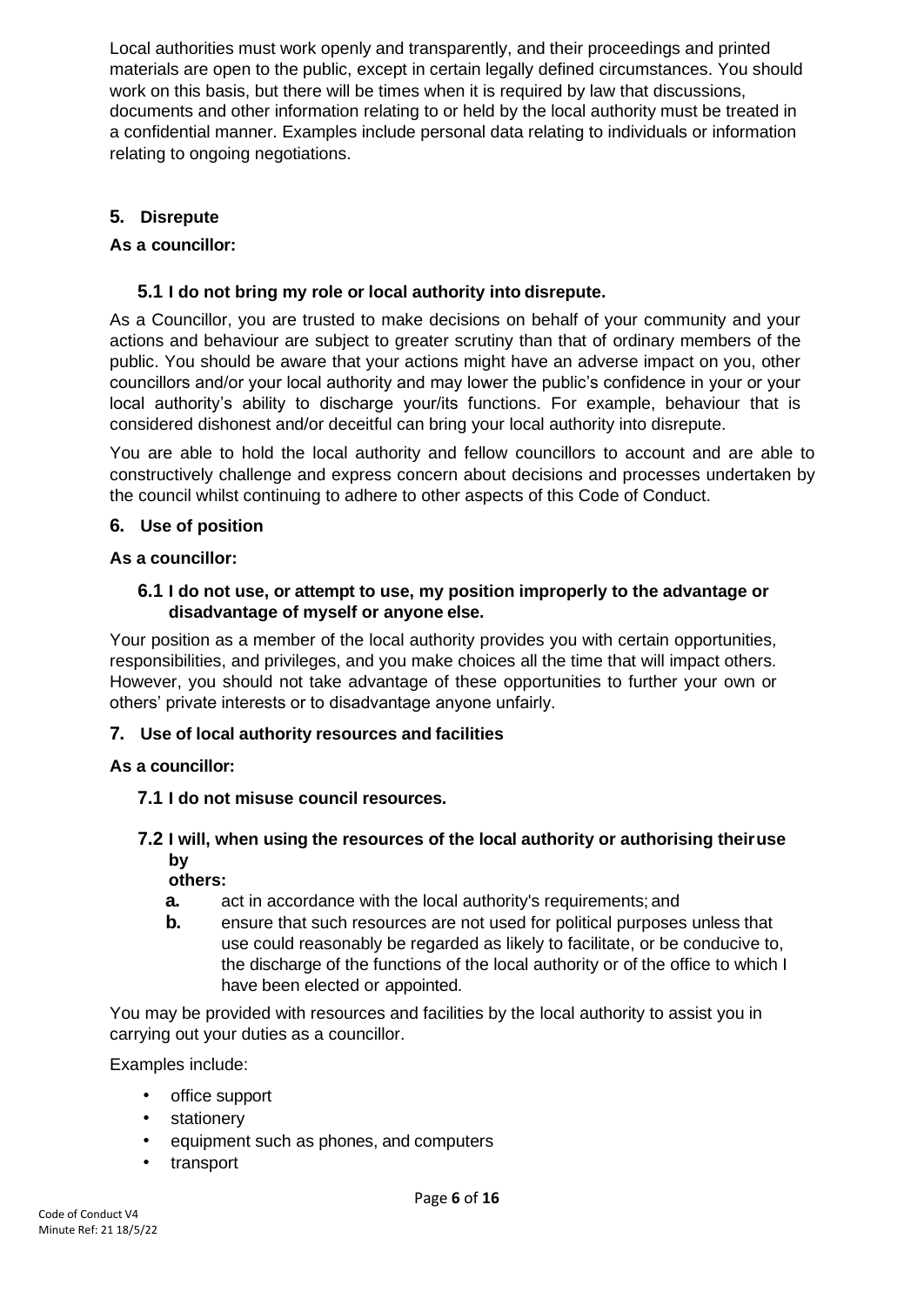Local authorities must work openly and transparently, and their proceedings and printed materials are open to the public, except in certain legally defined circumstances. You should work on this basis, but there will be times when it is required by law that discussions, documents and other information relating to or held by the local authority must be treated in a confidential manner. Examples include personal data relating to individuals or information relating to ongoing negotiations.

# **5. Disrepute**

## **As a councillor:**

## **5.1 I do not bring my role or local authority into disrepute.**

As a Councillor, you are trusted to make decisions on behalf of your community and your actions and behaviour are subject to greater scrutiny than that of ordinary members of the public. You should be aware that your actions might have an adverse impact on you, other councillors and/or your local authority and may lower the public's confidence in your or your local authority's ability to discharge your/its functions. For example, behaviour that is considered dishonest and/or deceitful can bring your local authority into disrepute.

You are able to hold the local authority and fellow councillors to account and are able to constructively challenge and express concern about decisions and processes undertaken by the council whilst continuing to adhere to other aspects of this Code of Conduct.

## **6. Use of position**

## **As a councillor:**

#### **6.1 I do not use, or attempt to use, my position improperly to the advantage or disadvantage of myself or anyone else.**

Your position as a member of the local authority provides you with certain opportunities, responsibilities, and privileges, and you make choices all the time that will impact others. However, you should not take advantage of these opportunities to further your own or others' private interests or to disadvantage anyone unfairly.

## **7. Use of local authority resources and facilities**

## **As a councillor:**

## **7.1 I do not misuse council resources.**

# **7.2 I will, when using the resources of the local authority or authorising theiruse by**

## **others:**

- **a.** act in accordance with the local authority's requirements; and
- **b.** ensure that such resources are not used for political purposes unless that use could reasonably be regarded as likely to facilitate, or be conducive to, the discharge of the functions of the local authority or of the office to which I have been elected or appointed.

You may be provided with resources and facilities by the local authority to assist you in carrying out your duties as a councillor.

Examples include:

- office support
- **stationery**
- equipment such as phones, and computers
- transport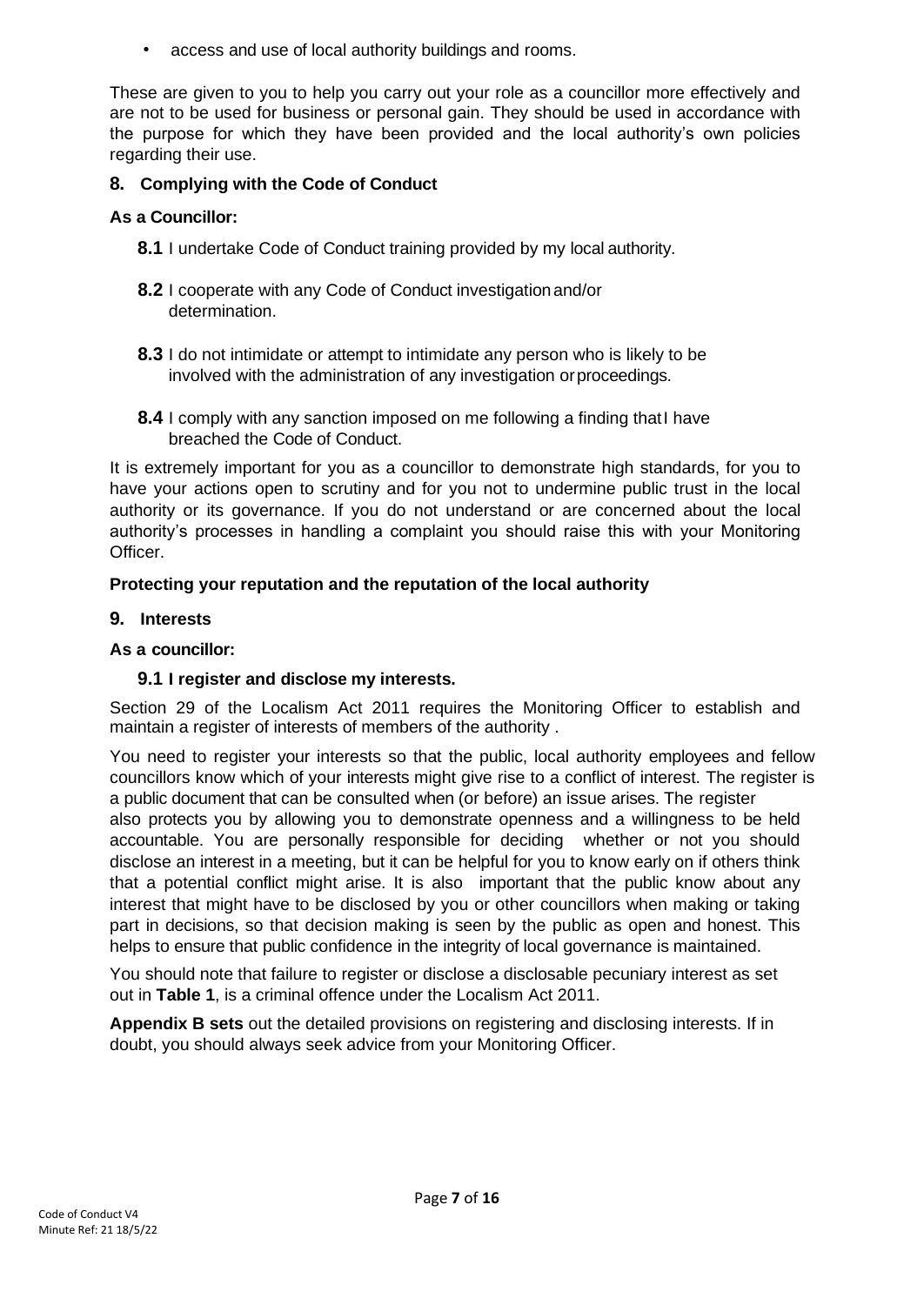• access and use of local authority buildings and rooms.

These are given to you to help you carry out your role as a councillor more effectively and are not to be used for business or personal gain. They should be used in accordance with the purpose for which they have been provided and the local authority's own policies regarding their use.

## **8. Complying with the Code of Conduct**

## **As a Councillor:**

- **8.1** I undertake Code of Conduct training provided by my local authority.
- **8.2** I cooperate with any Code of Conduct investigationand/or determination.
- **8.3** I do not intimidate or attempt to intimidate any person who is likely to be involved with the administration of any investigation orproceedings.
- **8.4** I comply with any sanction imposed on me following a finding that I have breached the Code of Conduct.

It is extremely important for you as a councillor to demonstrate high standards, for you to have your actions open to scrutiny and for you not to undermine public trust in the local authority or its governance. If you do not understand or are concerned about the local authority's processes in handling a complaint you should raise this with your Monitoring Officer.

## **Protecting your reputation and the reputation of the local authority**

## **9. Interests**

#### **As a councillor:**

## **9.1 I register and disclose my interests.**

Section 29 of the Localism Act 2011 requires the Monitoring Officer to establish and maintain a register of interests of members of the authority .

You need to register your interests so that the public, local authority employees and fellow councillors know which of your interests might give rise to a conflict of interest. The register is a public document that can be consulted when (or before) an issue arises. The register also protects you by allowing you to demonstrate openness and a willingness to be held accountable. You are personally responsible for deciding whether or not you should disclose an interest in a meeting, but it can be helpful for you to know early on if others think that a potential conflict might arise. It is also important that the public know about any interest that might have to be disclosed by you or other councillors when making or taking part in decisions, so that decision making is seen by the public as open and honest. This helps to ensure that public confidence in the integrity of local governance is maintained.

You should note that failure to register or disclose a disclosable pecuniary interest as set out in **Table 1**, is a criminal offence under the Localism Act 2011.

**Appendix B sets** out the detailed provisions on registering and disclosing interests. If in doubt, you should always seek advice from your Monitoring Officer.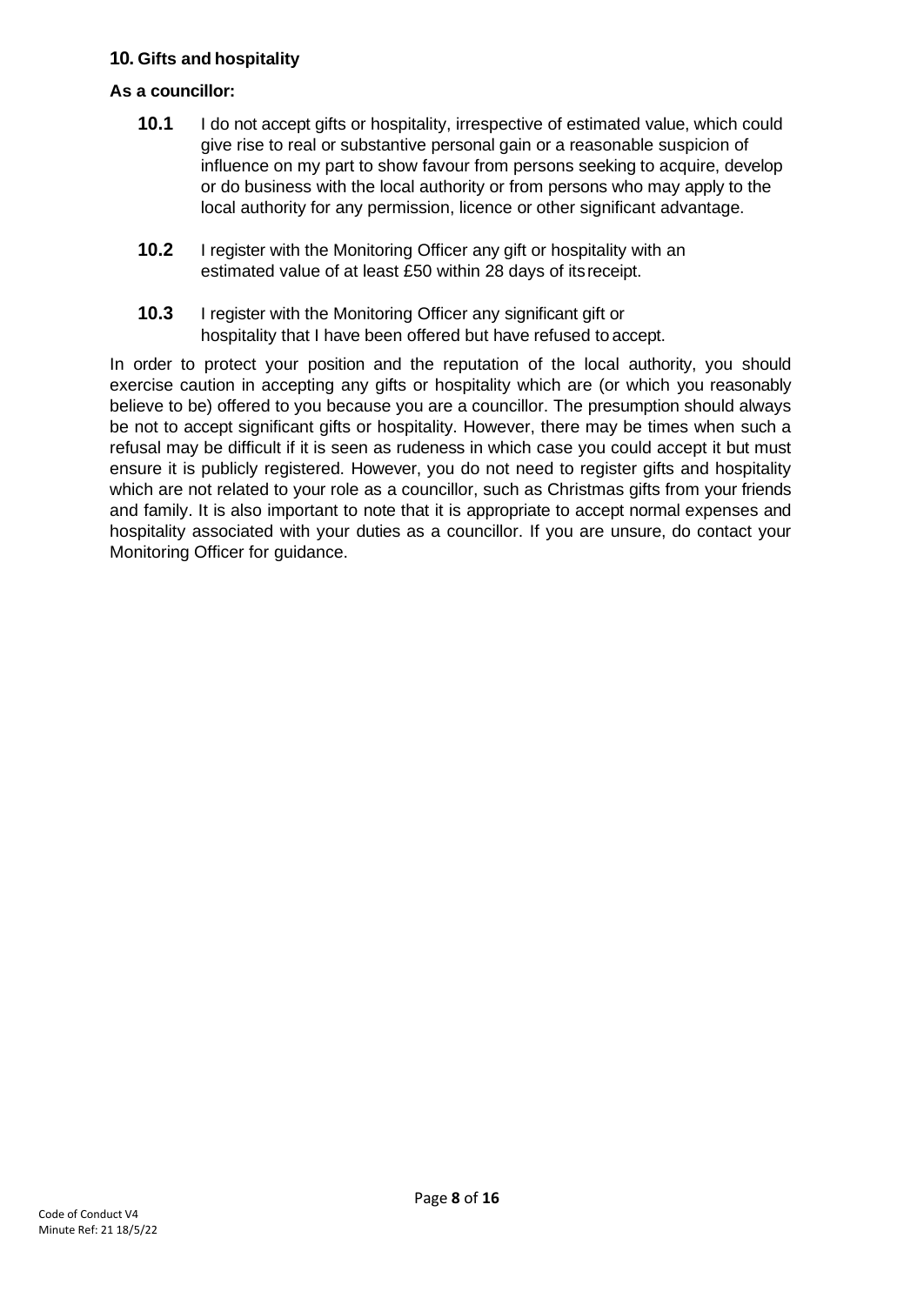## **10. Gifts and hospitality**

#### **As a councillor:**

- **10.1** I do not accept gifts or hospitality, irrespective of estimated value, which could give rise to real or substantive personal gain or a reasonable suspicion of influence on my part to show favour from persons seeking to acquire, develop or do business with the local authority or from persons who may apply to the local authority for any permission, licence or other significant advantage.
- **10.2** I register with the Monitoring Officer any gift or hospitality with an estimated value of at least £50 within 28 days of itsreceipt.
- **10.3** I register with the Monitoring Officer any significant gift or hospitality that I have been offered but have refused to accept.

In order to protect your position and the reputation of the local authority, you should exercise caution in accepting any gifts or hospitality which are (or which you reasonably believe to be) offered to you because you are a councillor. The presumption should always be not to accept significant gifts or hospitality. However, there may be times when such a refusal may be difficult if it is seen as rudeness in which case you could accept it but must ensure it is publicly registered. However, you do not need to register gifts and hospitality which are not related to your role as a councillor, such as Christmas gifts from your friends and family. It is also important to note that it is appropriate to accept normal expenses and hospitality associated with your duties as a councillor. If you are unsure, do contact your Monitoring Officer for guidance.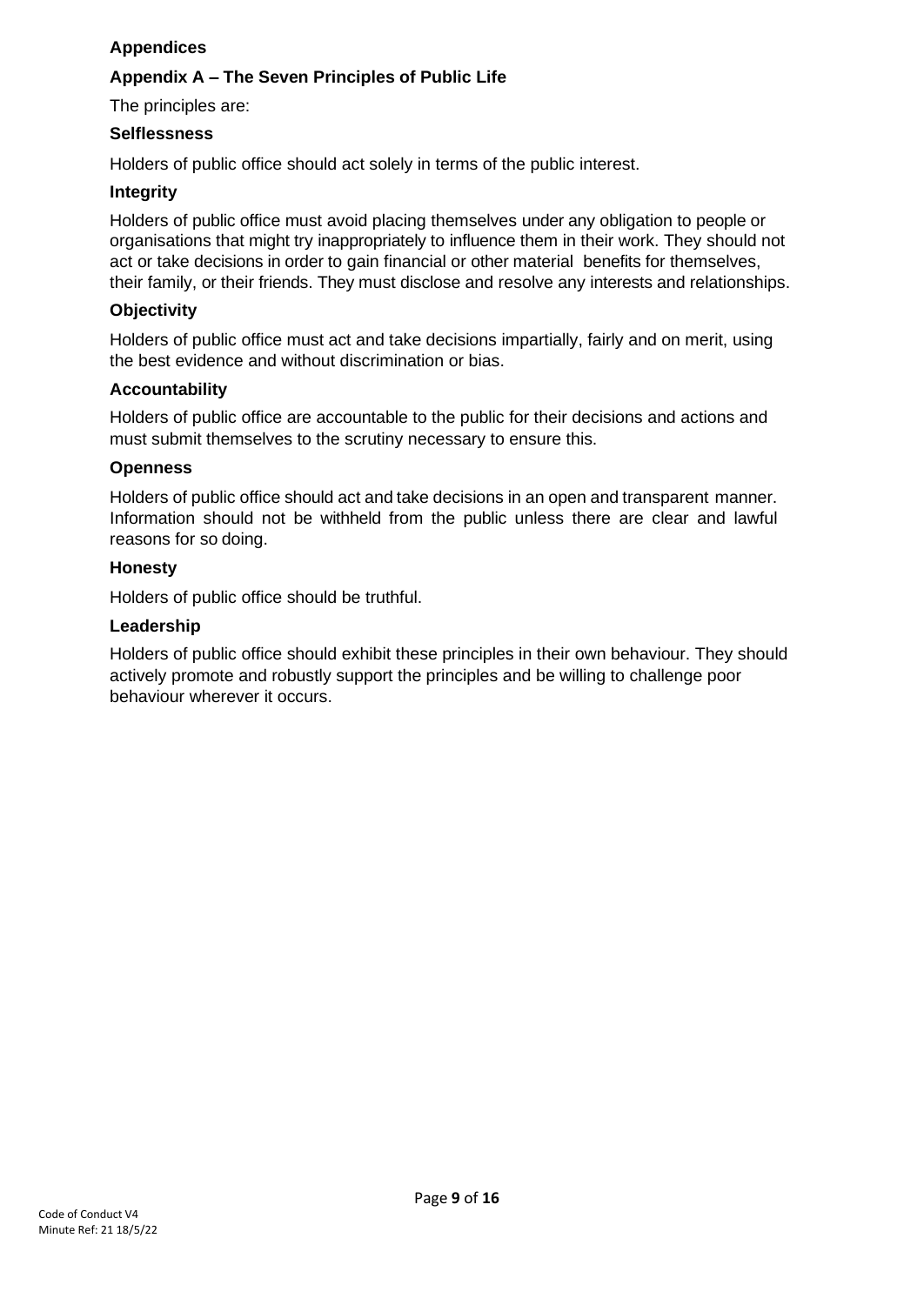## **Appendices**

## **Appendix A – The Seven Principles of Public Life**

The principles are:

#### **Selflessness**

Holders of public office should act solely in terms of the public interest.

#### **Integrity**

Holders of public office must avoid placing themselves under any obligation to people or organisations that might try inappropriately to influence them in their work. They should not act or take decisions in order to gain financial or other material benefits for themselves, their family, or their friends. They must disclose and resolve any interests and relationships.

#### **Objectivity**

Holders of public office must act and take decisions impartially, fairly and on merit, using the best evidence and without discrimination or bias.

#### **Accountability**

Holders of public office are accountable to the public for their decisions and actions and must submit themselves to the scrutiny necessary to ensure this.

#### **Openness**

Holders of public office should act and take decisions in an open and transparent manner. Information should not be withheld from the public unless there are clear and lawful reasons for so doing.

#### **Honesty**

Holders of public office should be truthful.

#### **Leadership**

Holders of public office should exhibit these principles in their own behaviour. They should actively promote and robustly support the principles and be willing to challenge poor behaviour wherever it occurs.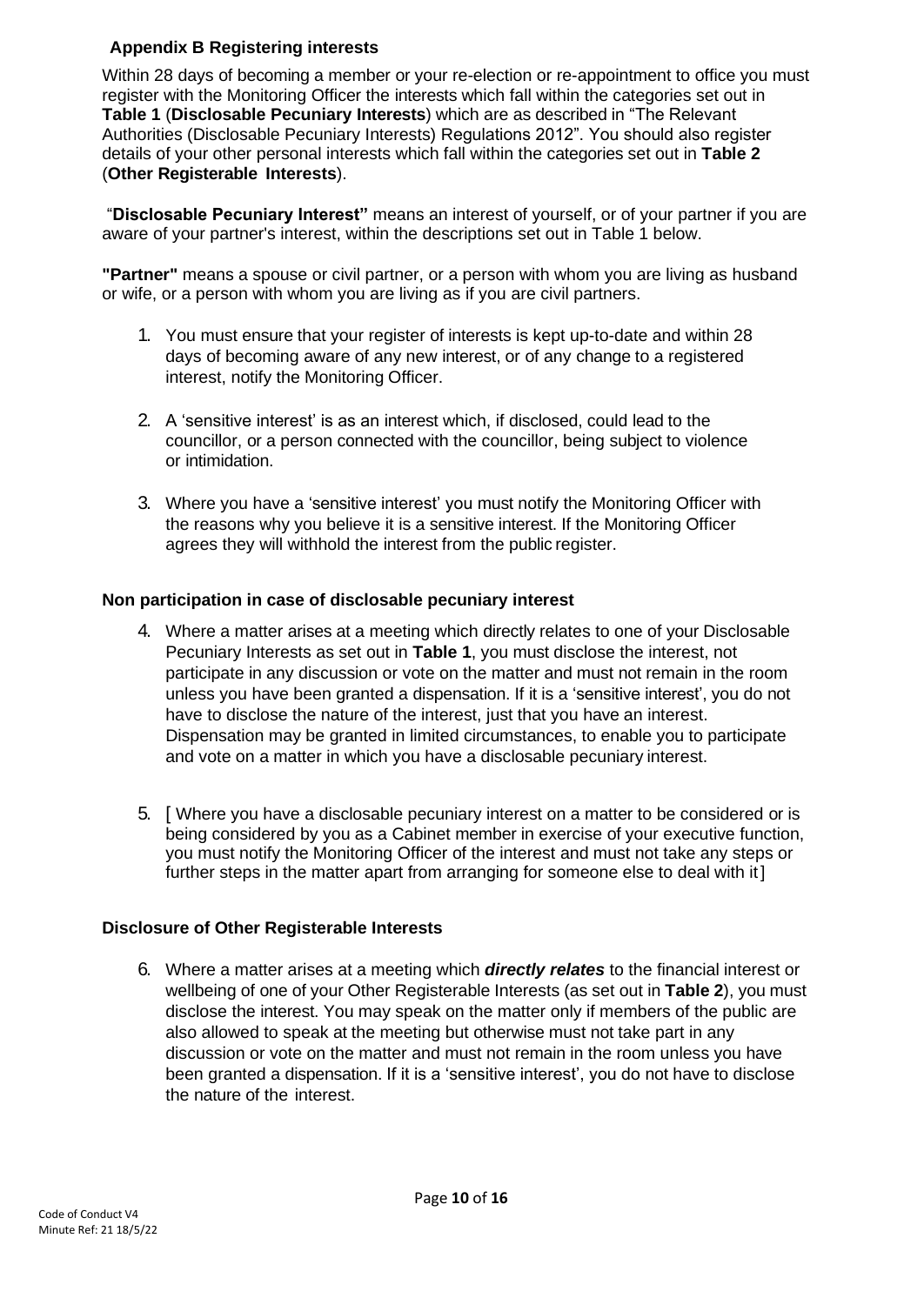## **Appendix B Registering interests**

Within 28 days of becoming a member or your re-election or re-appointment to office you must register with the Monitoring Officer the interests which fall within the categories set out in **Table 1** (**Disclosable Pecuniary Interests**) which are as described in "The Relevant Authorities (Disclosable Pecuniary Interests) Regulations 2012". You should also register details of your other personal interests which fall within the categories set out in **Table 2**  (**Other Registerable Interests**).

"**Disclosable Pecuniary Interest"** means an interest of yourself, or of your partner if you are aware of your partner's interest, within the descriptions set out in Table 1 below.

**"Partner"** means a spouse or civil partner, or a person with whom you are living as husband or wife, or a person with whom you are living as if you are civil partners.

- 1. You must ensure that your register of interests is kept up-to-date and within 28 days of becoming aware of any new interest, or of any change to a registered interest, notify the Monitoring Officer.
- 2. A 'sensitive interest' is as an interest which, if disclosed, could lead to the councillor, or a person connected with the councillor, being subject to violence or intimidation.
- 3. Where you have a 'sensitive interest' you must notify the Monitoring Officer with the reasons why you believe it is a sensitive interest. If the Monitoring Officer agrees they will withhold the interest from the public register.

## **Non participation in case of disclosable pecuniary interest**

- 4. Where a matter arises at a meeting which directly relates to one of your Disclosable Pecuniary Interests as set out in **Table 1**, you must disclose the interest, not participate in any discussion or vote on the matter and must not remain in the room unless you have been granted a dispensation. If it is a 'sensitive interest', you do not have to disclose the nature of the interest, just that you have an interest. Dispensation may be granted in limited circumstances, to enable you to participate and vote on a matter in which you have a disclosable pecuniary interest.
- 5. [ Where you have a disclosable pecuniary interest on a matter to be considered or is being considered by you as a Cabinet member in exercise of your executive function, you must notify the Monitoring Officer of the interest and must not take any steps or further steps in the matter apart from arranging for someone else to deal with it ]

#### **Disclosure of Other Registerable Interests**

6. Where a matter arises at a meeting which *directly relates* to the financial interest or wellbeing of one of your Other Registerable Interests (as set out in **Table 2**), you must disclose the interest. You may speak on the matter only if members of the public are also allowed to speak at the meeting but otherwise must not take part in any discussion or vote on the matter and must not remain in the room unless you have been granted a dispensation. If it is a 'sensitive interest', you do not have to disclose the nature of the interest.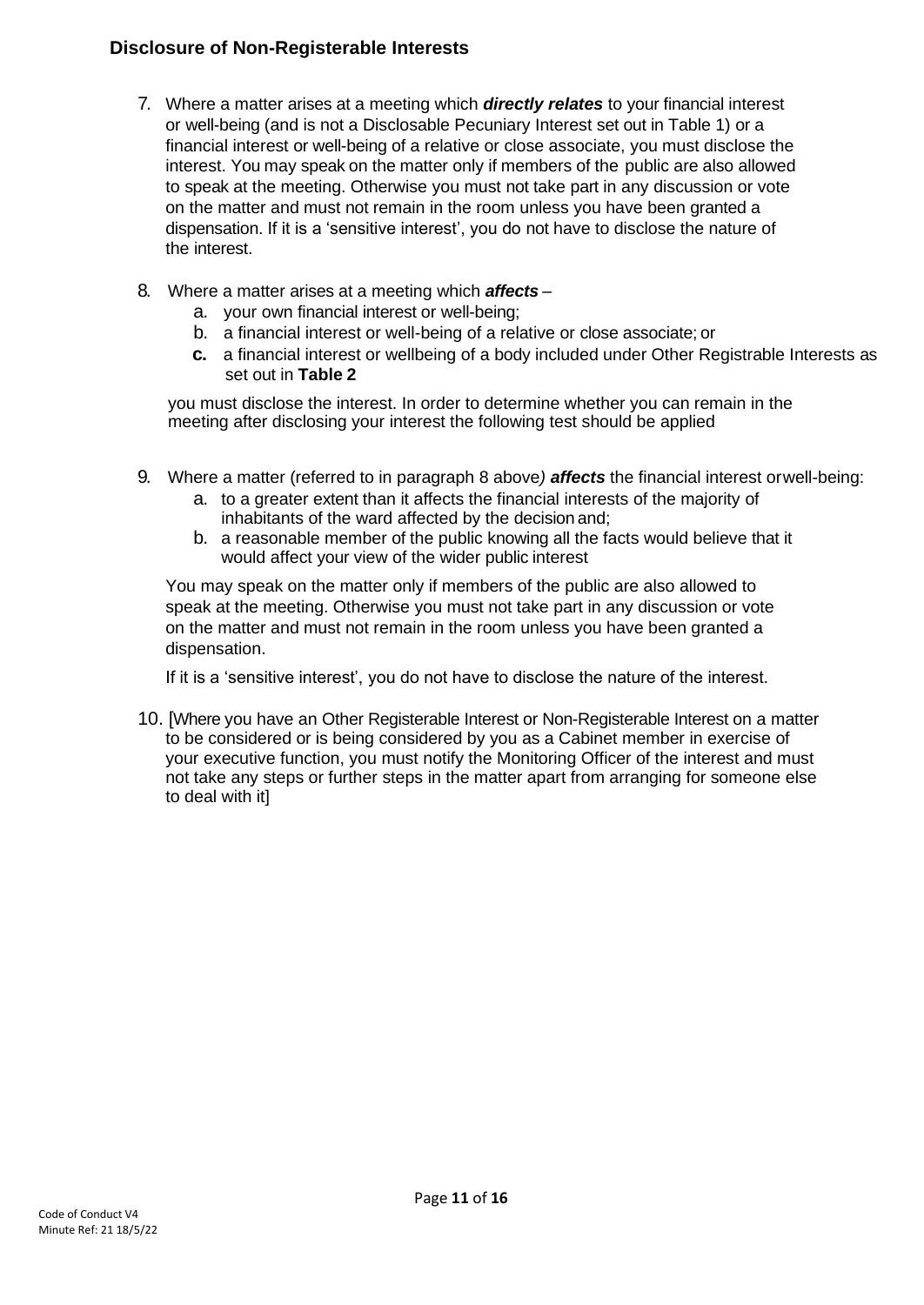# **Disclosure of Non-Registerable Interests**

- 7. Where a matter arises at a meeting which *directly relates* to your financial interest or well-being (and is not a Disclosable Pecuniary Interest set out in Table 1) or a financial interest or well-being of a relative or close associate, you must disclose the interest. You may speak on the matter only if members of the public are also allowed to speak at the meeting. Otherwise you must not take part in any discussion or vote on the matter and must not remain in the room unless you have been granted a dispensation. If it is a 'sensitive interest', you do not have to disclose the nature of the interest.
- 8. Where a matter arises at a meeting which *affects*
	- a. your own financial interest or well-being;
	- b. a financial interest or well-being of a relative or close associate; or
	- **c.** a financial interest or wellbeing of a body included under Other Registrable Interests as set out in **Table 2**

you must disclose the interest. In order to determine whether you can remain in the meeting after disclosing your interest the following test should be applied

- 9. Where a matter (referred to in paragraph 8 above*) affects* the financial interest orwell-being:
	- a. to a greater extent than it affects the financial interests of the majority of inhabitants of the ward affected by the decision and;
	- b. a reasonable member of the public knowing all the facts would believe that it would affect your view of the wider public interest

You may speak on the matter only if members of the public are also allowed to speak at the meeting. Otherwise you must not take part in any discussion or vote on the matter and must not remain in the room unless you have been granted a dispensation.

If it is a 'sensitive interest', you do not have to disclose the nature of the interest.

10. [Where you have an Other Registerable Interest or Non-Registerable Interest on a matter to be considered or is being considered by you as a Cabinet member in exercise of your executive function, you must notify the Monitoring Officer of the interest and must not take any steps or further steps in the matter apart from arranging for someone else to deal with it]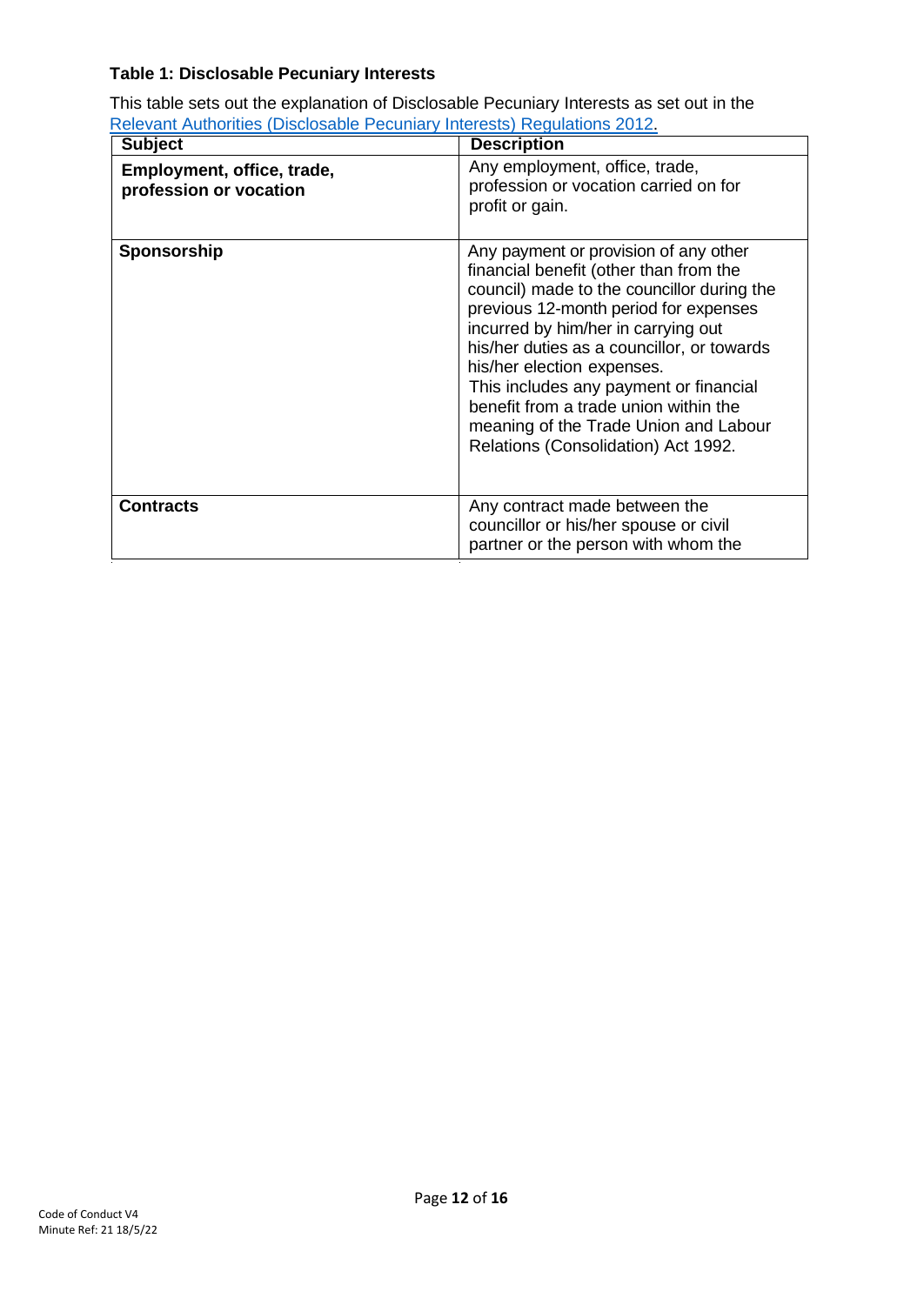# **Table 1: Disclosable Pecuniary Interests**

This table sets out the explanation of Disclosable Pecuniary Interests as set out in the [Relevant Authorities \(Disclosable Pecuniary Interests\) Regulations 2012.](https://www.legislation.gov.uk/uksi/2012/1464/made)

| <b>Subject</b>                                       | <b>Description</b>                                                                                                                                                                                                                                                                                                                                                                                                                                           |
|------------------------------------------------------|--------------------------------------------------------------------------------------------------------------------------------------------------------------------------------------------------------------------------------------------------------------------------------------------------------------------------------------------------------------------------------------------------------------------------------------------------------------|
| Employment, office, trade,<br>profession or vocation | Any employment, office, trade,<br>profession or vocation carried on for<br>profit or gain.                                                                                                                                                                                                                                                                                                                                                                   |
| <b>Sponsorship</b>                                   | Any payment or provision of any other<br>financial benefit (other than from the<br>council) made to the councillor during the<br>previous 12-month period for expenses<br>incurred by him/her in carrying out<br>his/her duties as a councillor, or towards<br>his/her election expenses.<br>This includes any payment or financial<br>benefit from a trade union within the<br>meaning of the Trade Union and Labour<br>Relations (Consolidation) Act 1992. |
| <b>Contracts</b>                                     | Any contract made between the<br>councillor or his/her spouse or civil<br>partner or the person with whom the                                                                                                                                                                                                                                                                                                                                                |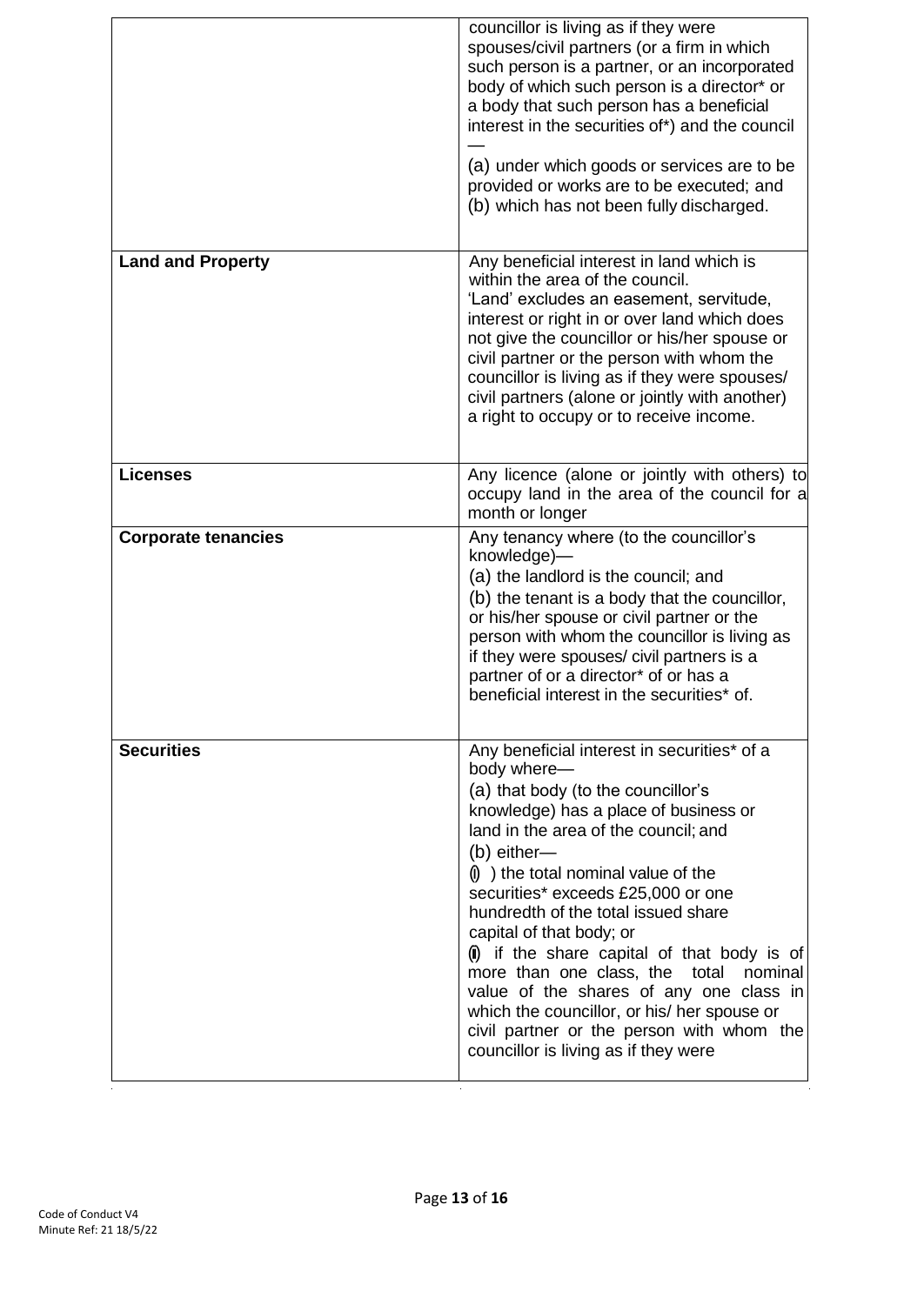|                            | councillor is living as if they were<br>spouses/civil partners (or a firm in which<br>such person is a partner, or an incorporated<br>body of which such person is a director* or<br>a body that such person has a beneficial<br>interest in the securities of*) and the council<br>(a) under which goods or services are to be<br>provided or works are to be executed; and<br>(b) which has not been fully discharged.                                                                                                                                                                                                                               |
|----------------------------|--------------------------------------------------------------------------------------------------------------------------------------------------------------------------------------------------------------------------------------------------------------------------------------------------------------------------------------------------------------------------------------------------------------------------------------------------------------------------------------------------------------------------------------------------------------------------------------------------------------------------------------------------------|
| <b>Land and Property</b>   | Any beneficial interest in land which is<br>within the area of the council.<br>'Land' excludes an easement, servitude,<br>interest or right in or over land which does<br>not give the councillor or his/her spouse or<br>civil partner or the person with whom the<br>councillor is living as if they were spouses/<br>civil partners (alone or jointly with another)<br>a right to occupy or to receive income.                                                                                                                                                                                                                                      |
| <b>Licenses</b>            | Any licence (alone or jointly with others) to<br>occupy land in the area of the council for a<br>month or longer                                                                                                                                                                                                                                                                                                                                                                                                                                                                                                                                       |
| <b>Corporate tenancies</b> | Any tenancy where (to the councillor's<br>knowledge)-<br>(a) the landlord is the council; and<br>(b) the tenant is a body that the councillor,<br>or his/her spouse or civil partner or the<br>person with whom the councillor is living as<br>if they were spouses/ civil partners is a<br>partner of or a director* of or has a<br>beneficial interest in the securities* of.                                                                                                                                                                                                                                                                        |
| <b>Securities</b>          | Any beneficial interest in securities* of a<br>body where-<br>(a) that body (to the councillor's<br>knowledge) has a place of business or<br>land in the area of the council; and<br>(b) either-<br>$\left(\mathbf{0}\right)$ ) the total nominal value of the<br>securities* exceeds £25,000 or one<br>hundredth of the total issued share<br>capital of that body; or<br>(ii) if the share capital of that body is of<br>more than one class, the<br>total<br>nominal<br>value of the shares of any one class in<br>which the councillor, or his/ her spouse or<br>civil partner or the person with whom the<br>councillor is living as if they were |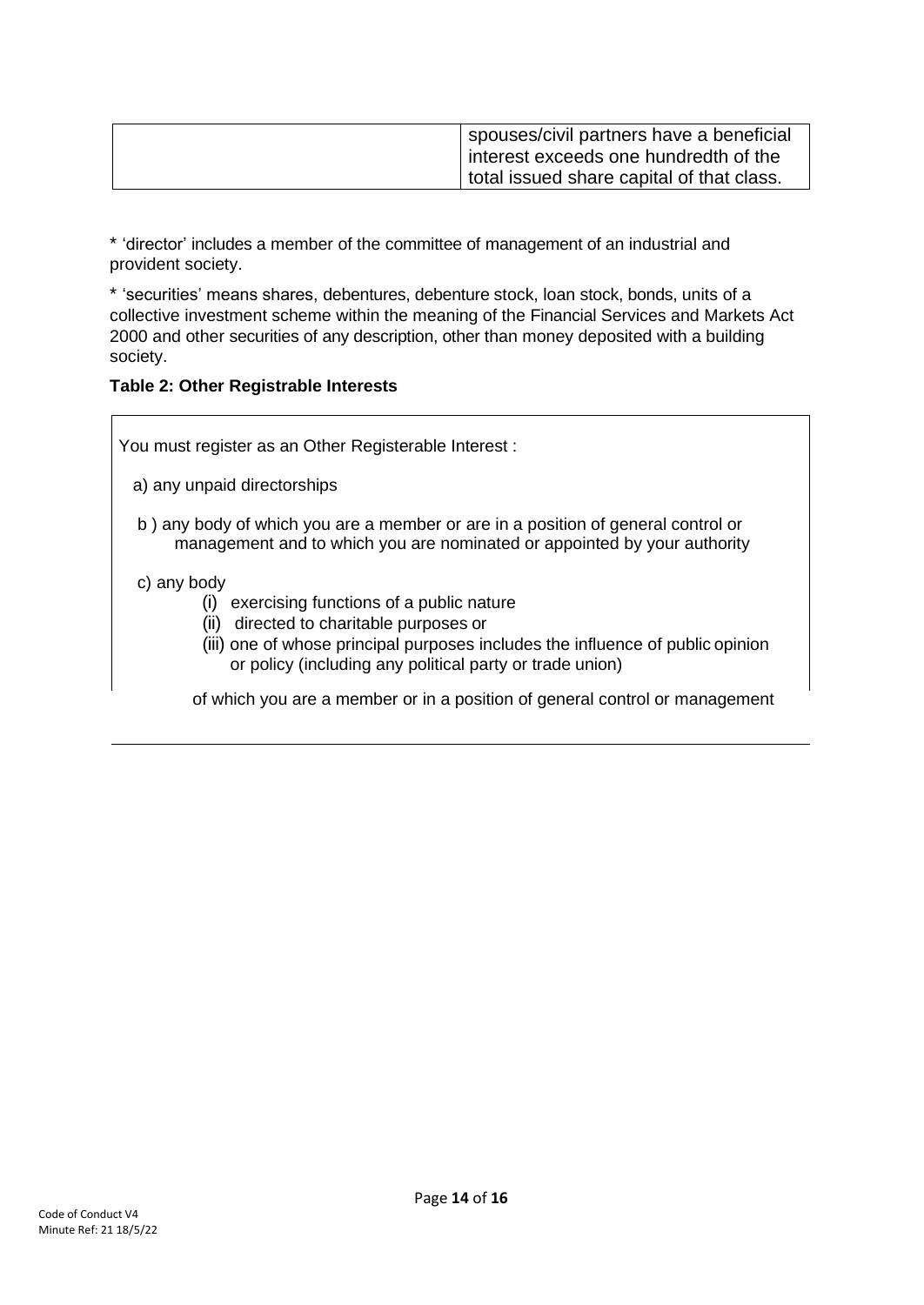| spouses/civil partners have a beneficial  |
|-------------------------------------------|
| interest exceeds one hundredth of the     |
| total issued share capital of that class. |

\* 'director' includes a member of the committee of management of an industrial and provident society.

\* 'securities' means shares, debentures, debenture stock, loan stock, bonds, units of a collective investment scheme within the meaning of the Financial Services and Markets Act 2000 and other securities of any description, other than money deposited with a building society.

#### **Table 2: Other Registrable Interests**

You must register as an Other Registerable Interest :

- a) any unpaid directorships
- b ) any body of which you are a member or are in a position of general control or management and to which you are nominated or appointed by your authority

#### c) any body

- (i) exercising functions of a public nature
- (ii) directed to charitable purposes or
- (iii) one of whose principal purposes includes the influence of public opinion or policy (including any political party or trade union)

of which you are a member or in a position of general control or management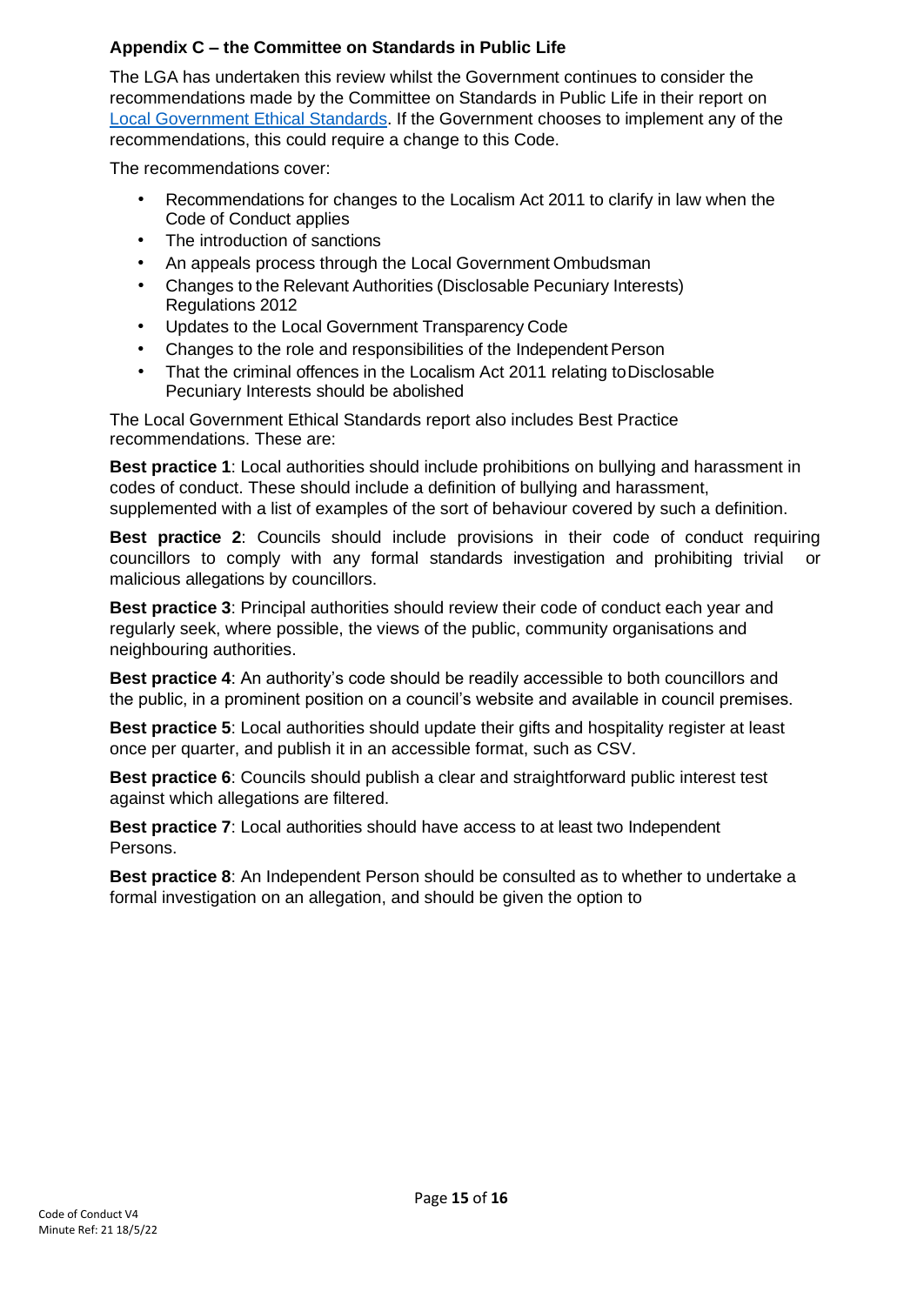# **Appendix C – the Committee on Standards in Public Life**

The LGA has undertaken this review whilst the Government continues to consider the recommendations made by the Committee on Standards in Public Life in their report on [Local Government Ethical Standards. I](https://www.gov.uk/government/publications/local-government-ethical-standards-report)f the Government chooses to implement any of the recommendations, this could require a change to this Code.

The recommendations cover:

- Recommendations for changes to the Localism Act 2011 to clarify in law when the Code of Conduct applies
- The introduction of sanctions
- An appeals process through the Local Government Ombudsman
- Changes to the Relevant Authorities (Disclosable Pecuniary Interests) Regulations 2012
- Updates to the Local Government Transparency Code
- Changes to the role and responsibilities of the Independent Person
- That the criminal offences in the Localism Act 2011 relating toDisclosable Pecuniary Interests should be abolished

The Local Government Ethical Standards report also includes Best Practice recommendations. These are:

**Best practice 1**: Local authorities should include prohibitions on bullying and harassment in codes of conduct. These should include a definition of bullying and harassment, supplemented with a list of examples of the sort of behaviour covered by such a definition.

**Best practice 2**: Councils should include provisions in their code of conduct requiring councillors to comply with any formal standards investigation and prohibiting trivial or malicious allegations by councillors.

**Best practice 3**: Principal authorities should review their code of conduct each year and regularly seek, where possible, the views of the public, community organisations and neighbouring authorities.

**Best practice 4**: An authority's code should be readily accessible to both councillors and the public, in a prominent position on a council's website and available in council premises.

**Best practice 5**: Local authorities should update their gifts and hospitality register at least once per quarter, and publish it in an accessible format, such as CSV.

**Best practice 6**: Councils should publish a clear and straightforward public interest test against which allegations are filtered.

**Best practice 7**: Local authorities should have access to at least two Independent Persons.

**Best practice 8**: An Independent Person should be consulted as to whether to undertake a formal investigation on an allegation, and should be given the option to